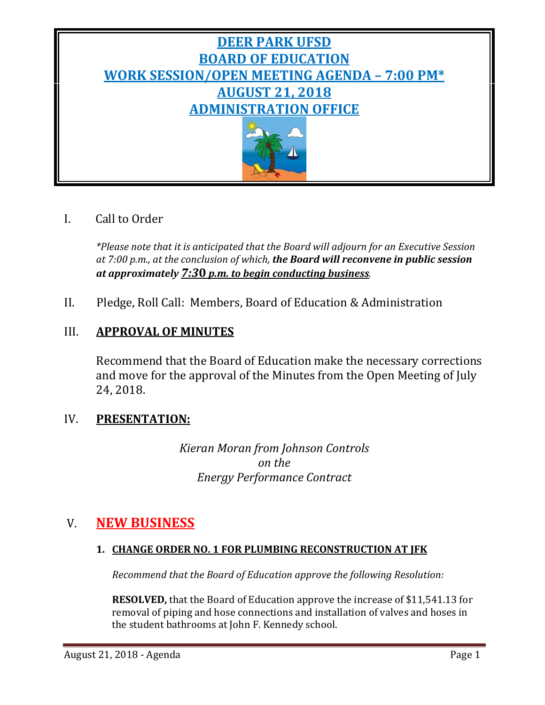

## I. Call to Order

*\*Please note that it is anticipated that the Board will adjourn for an Executive Session at 7:00 p.m., at the conclusion of which, the Board will reconvene in public session at approximately 7:3***0** *p.m. to begin conducting business.*

II. Pledge, Roll Call: Members, Board of Education & Administration

## III. **APPROVAL OF MINUTES**

Recommend that the Board of Education make the necessary corrections and move for the approval of the Minutes from the Open Meeting of July 24, 2018.

## IV. **PRESENTATION:**

*Kieran Moran from Johnson Controls on the Energy Performance Contract*

## V. **NEW BUSINESS**

## **1. CHANGE ORDER NO. 1 FOR PLUMBING RECONSTRUCTION AT JFK**

*Recommend that the Board of Education approve the following Resolution:*

**RESOLVED,** that the Board of Education approve the increase of \$11,541.13 for removal of piping and hose connections and installation of valves and hoses in the student bathrooms at John F. Kennedy school.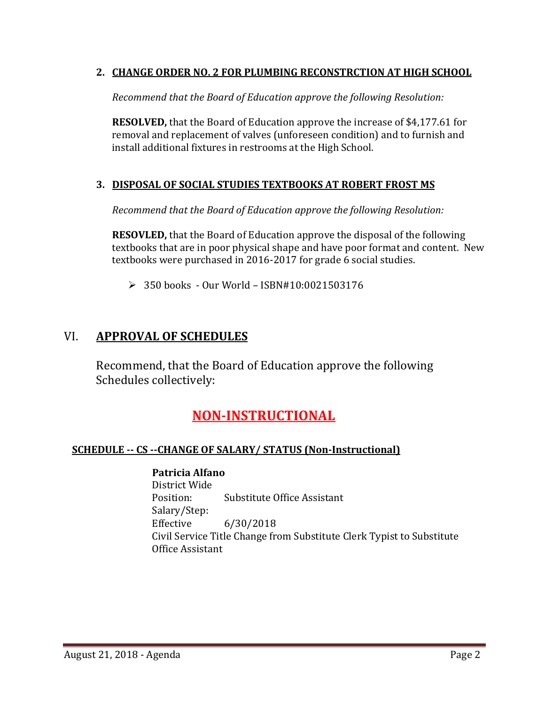## **2. CHANGE ORDER NO. 2 FOR PLUMBING RECONSTRCTION AT HIGH SCHOOL**

*Recommend that the Board of Education approve the following Resolution:*

**RESOLVED,** that the Board of Education approve the increase of \$4,177.61 for removal and replacement of valves (unforeseen condition) and to furnish and install additional fixtures in restrooms at the High School.

## **3. DISPOSAL OF SOCIAL STUDIES TEXTBOOKS AT ROBERT FROST MS**

*Recommend that the Board of Education approve the following Resolution:*

**RESOVLED,** that the Board of Education approve the disposal of the following textbooks that are in poor physical shape and have poor format and content. New textbooks were purchased in 2016-2017 for grade 6 social studies.

350 books - Our World – ISBN#10:0021503176

## VI. **APPROVAL OF SCHEDULES**

Recommend, that the Board of Education approve the following Schedules collectively:

# **NON-INSTRUCTIONAL**

#### **SCHEDULE -- CS --CHANGE OF SALARY/ STATUS (Non-Instructional)**

## **Patricia Alfano**

District Wide **Substitute Office Assistant** Salary/Step: Effective 6/30/2018 Civil Service Title Change from Substitute Clerk Typist to Substitute Office Assistant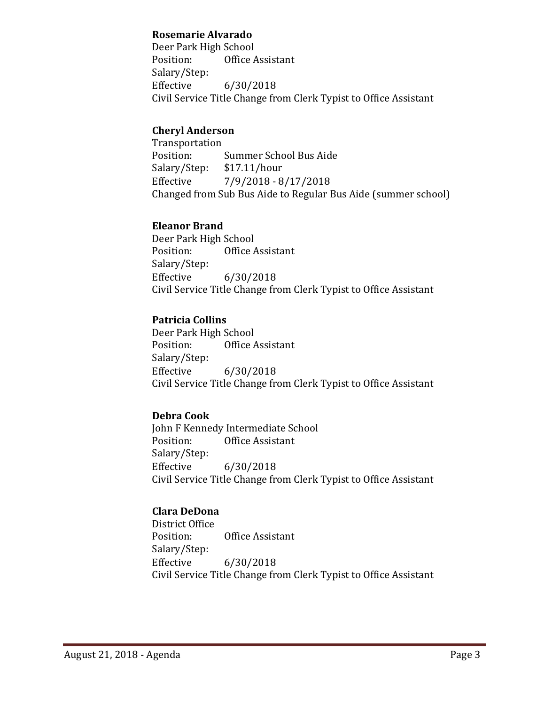#### **Rosemarie Alvarado**

Deer Park High School<br>Position: Office A **Office Assistant** Salary/Step:<br>Effective  $6/30/2018$ Civil Service Title Change from Clerk Typist to Office Assistant

## **Cheryl Anderson**

Transportation<br>Position: Summer School Bus Aide<br>\$17.11/hour Salary/Step:<br>Effective Effective 7/9/2018 - 8/17/2018 Changed from Sub Bus Aide to Regular Bus Aide (summer school)

## **Eleanor Brand**

Deer Park High School<br>Position: Office A Office Assistant Salary/Step:<br>Effective Effective 6/30/2018 Civil Service Title Change from Clerk Typist to Office Assistant

## **Patricia Collins**

Deer Park High School<br>Position: Office Office Assistant Salary/Step: Effective 6/30/2018 Civil Service Title Change from Clerk Typist to Office Assistant

## **Debra Cook**

John F Kennedy Intermediate School<br>Position: Office Assistant Office Assistant Salary/Step:<br>Effective Effective 6/30/2018 Civil Service Title Change from Clerk Typist to Office Assistant

## **Clara DeDona**

District Office<br>Position: Office Assistant Salary/Step: Effective 6/30/2018 Civil Service Title Change from Clerk Typist to Office Assistant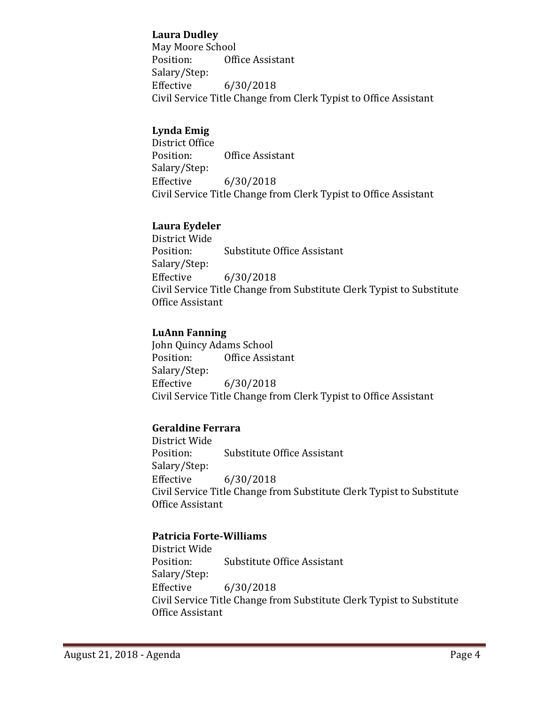### **Laura Dudley**

May Moore School<br>Position: 0ff **Office Assistant** Salary/Step:<br>Effective  $6/30/2018$ Civil Service Title Change from Clerk Typist to Office Assistant

## **Lynda Emig**

District Office<br>Position: Office Assistant Salary/Step: Effective 6/30/2018 Civil Service Title Change from Clerk Typist to Office Assistant

## **Laura Eydeler**

District Wide<br>Position: Substitute Office Assistant Salary/Step: Effective 6/30/2018 Civil Service Title Change from Substitute Clerk Typist to Substitute Office Assistant

## **LuAnn Fanning**

John Quincy Adams School<br>Position: Office Assis Office Assistant Salary/Step: Effective 6/30/2018 Civil Service Title Change from Clerk Typist to Office Assistant

## **Geraldine Ferrara**

District Wide **Substitute Office Assistant** Salary/Step: Effective 6/30/2018 Civil Service Title Change from Substitute Clerk Typist to Substitute Office Assistant

## **Patricia Forte-Williams**

District Wide **Substitute Office Assistant** Salary/Step: Effective 6/30/2018 Civil Service Title Change from Substitute Clerk Typist to Substitute Office Assistant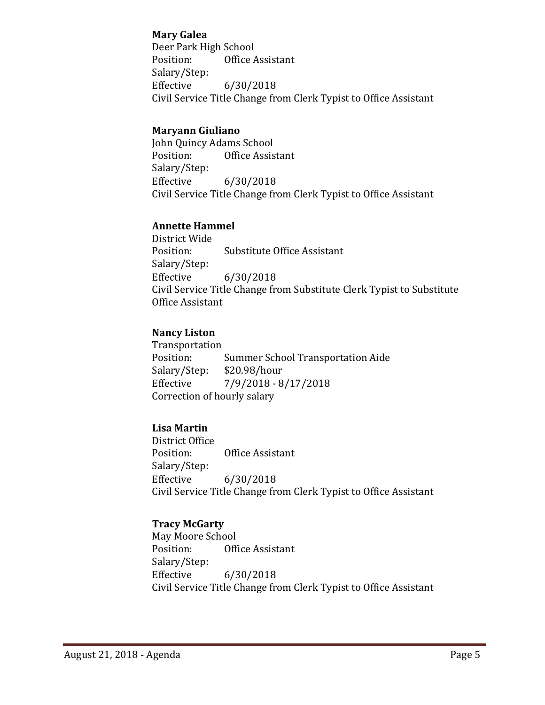#### **Mary Galea**

Deer Park High School<br>Position: Office / Office Assistant Salary/Step:<br>Effective  $6/30/2018$ Civil Service Title Change from Clerk Typist to Office Assistant

## **Maryann Giuliano**

John Quincy Adams School<br>Position: Office Assis Office Assistant Salary/Step: Effective 6/30/2018 Civil Service Title Change from Clerk Typist to Office Assistant

#### **Annette Hammel**

District Wide Substitute Office Assistant Salary/Step:<br>Effective Effective 6/30/2018 Civil Service Title Change from Substitute Clerk Typist to Substitute Office Assistant

## **Nancy Liston**

Transportation Summer School Transportation Aide<br>\$20.98/hour Salary/Step:<br>Effective Effective 7/9/2018 - 8/17/2018 Correction of hourly salary

## **Lisa Martin**

District Office<br>Position: Office Assistant Salary/Step: Effective 6/30/2018 Civil Service Title Change from Clerk Typist to Office Assistant

## **Tracy McGarty**

May Moore School<br>Position: 0ff Office Assistant Salary/Step: Effective 6/30/2018 Civil Service Title Change from Clerk Typist to Office Assistant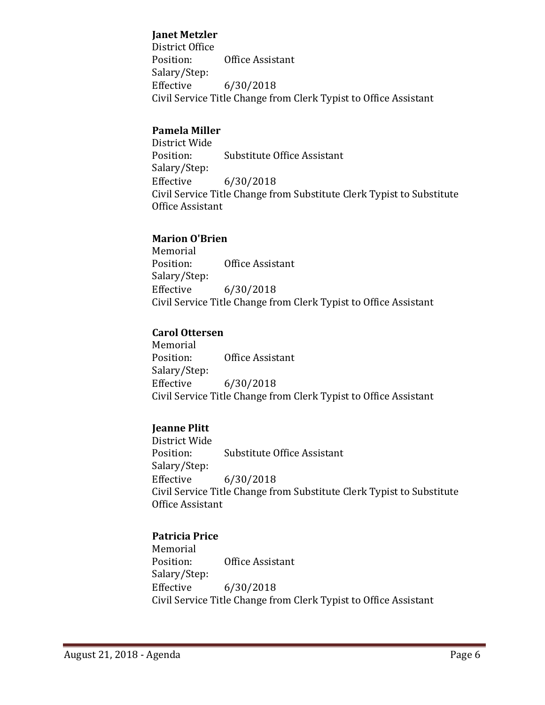#### **Janet Metzler**

District Office<br>Position: **Office Assistant** Salary/Step:<br>Effective  $6/30/2018$ Civil Service Title Change from Clerk Typist to Office Assistant

## **Pamela Miller**

District Wide **Substitute Office Assistant** Salary/Step:  $6/30/2018$ Civil Service Title Change from Substitute Clerk Typist to Substitute Office Assistant

#### **Marion O'Brien**

Memorial<br>Position: Office Assistant Salary/Step:<br>Effective  $6/30/2018$ Civil Service Title Change from Clerk Typist to Office Assistant

## **Carol Ottersen**

Memorial<br>Position: Office Assistant Salary/Step: Effective 6/30/2018 Civil Service Title Change from Clerk Typist to Office Assistant

## **Jeanne Plitt**

District Wide **Substitute Office Assistant** Salary/Step: Effective 6/30/2018 Civil Service Title Change from Substitute Clerk Typist to Substitute Office Assistant

## **Patricia Price**

Memorial<br>Position: Office Assistant Salary/Step:<br>Effective Effective 6/30/2018 Civil Service Title Change from Clerk Typist to Office Assistant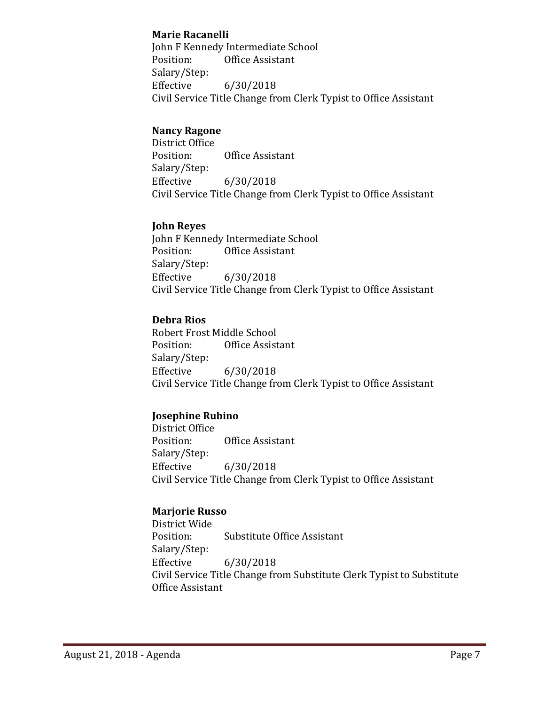#### **Marie Racanelli**

John F Kennedy Intermediate School<br>Position: 0ffice Assistant Office Assistant Salary/Step:<br>Effective  $6/30/2018$ Civil Service Title Change from Clerk Typist to Office Assistant

## **Nancy Ragone**

District Office<br>Position: Office Assistant Salary/Step:  $6/30/2018$ Civil Service Title Change from Clerk Typist to Office Assistant

## **John Reyes**

John F Kennedy Intermediate School<br>Position: Office Assistant Office Assistant Salary/Step:<br>Effective Effective 6/30/2018 Civil Service Title Change from Clerk Typist to Office Assistant

## **Debra Rios**

Robert Frost Middle School<br>Position: Office Assist Office Assistant Salary/Step: Effective 6/30/2018 Civil Service Title Change from Clerk Typist to Office Assistant

## **Josephine Rubino**

District Office<br>Position: Office Assistant Salary/Step:<br>Effective Effective 6/30/2018 Civil Service Title Change from Clerk Typist to Office Assistant

## **Marjorie Russo**

District Wide **Substitute Office Assistant** Salary/Step: Effective 6/30/2018 Civil Service Title Change from Substitute Clerk Typist to Substitute Office Assistant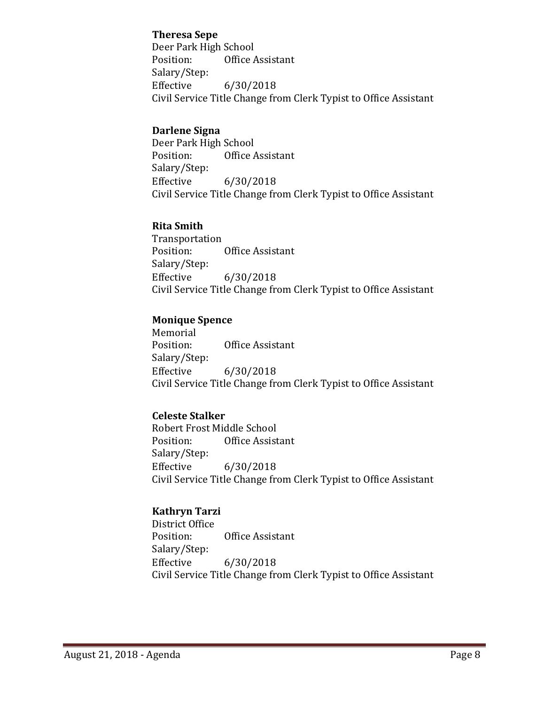#### **Theresa Sepe**

Deer Park High School<br>Position: Office / **Office Assistant** Salary/Step:<br>Effective  $6/30/2018$ Civil Service Title Change from Clerk Typist to Office Assistant

## **Darlene Signa**

Deer Park High School<br>Position: Office Office Assistant Salary/Step: Effective 6/30/2018 Civil Service Title Change from Clerk Typist to Office Assistant

## **Rita Smith**

Transportation<br>Position: Office Assistant Salary/Step:<br>Effective Effective 6/30/2018 Civil Service Title Change from Clerk Typist to Office Assistant

## **Monique Spence**

Memorial<br>Position: Office Assistant Salary/Step: Effective 6/30/2018 Civil Service Title Change from Clerk Typist to Office Assistant

## **Celeste Stalker**

Robert Frost Middle School<br>Position: Office Assist Office Assistant Salary/Step:<br>Effective Effective 6/30/2018 Civil Service Title Change from Clerk Typist to Office Assistant

## **Kathryn Tarzi**

District Office<br>Position: Office Assistant Salary/Step: Effective 6/30/2018 Civil Service Title Change from Clerk Typist to Office Assistant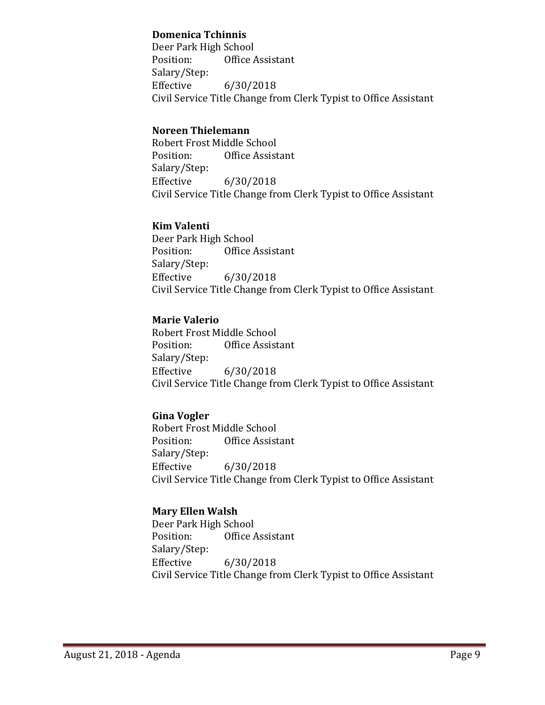### **Domenica Tchinnis**

Deer Park High School<br>Position: Office A **Office Assistant** Salary/Step:<br>Effective  $6/30/2018$ Civil Service Title Change from Clerk Typist to Office Assistant

## **Noreen Thielemann**

Robert Frost Middle School<br>Position: Office Assist Office Assistant Salary/Step:  $6/30/2018$ Civil Service Title Change from Clerk Typist to Office Assistant

## **Kim Valenti**

Deer Park High School<br>Position: Office / Office Assistant Salary/Step:<br>Effective Effective 6/30/2018 Civil Service Title Change from Clerk Typist to Office Assistant

## **Marie Valerio**

Robert Frost Middle School<br>Position: Office Assist Office Assistant Salary/Step: Effective 6/30/2018 Civil Service Title Change from Clerk Typist to Office Assistant

## **Gina Vogler**

Robert Frost Middle School<br>Position: Office Assist Office Assistant Salary/Step:<br>Effective Effective 6/30/2018 Civil Service Title Change from Clerk Typist to Office Assistant

#### **Mary Ellen Walsh**

Deer Park High School<br>Position: Office Office Assistant Salary/Step: Effective 6/30/2018 Civil Service Title Change from Clerk Typist to Office Assistant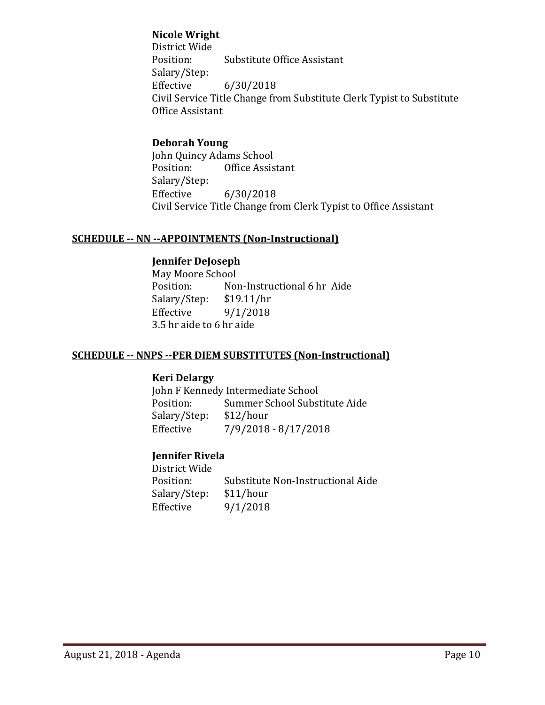### **Nicole Wright**

District Wide **Substitute Office Assistant** Salary/Step:<br>Effective  $6/30/2018$ Civil Service Title Change from Substitute Clerk Typist to Substitute Office Assistant

### **Deborah Young**

John Quincy Adams School Office Assistant Salary/Step: Effective 6/30/2018 Civil Service Title Change from Clerk Typist to Office Assistant

## **SCHEDULE -- NN --APPOINTMENTS (Non-Instructional)**

## **Jennifer DeJoseph**

May Moore School Non-Instructional 6 hr Aide<br>\$19.11/hr Salary/Step:<br>Effective  $9/1/2018$ 3.5 hr aide to 6 hr aide

### **SCHEDULE -- NNPS --PER DIEM SUBSTITUTES (Non-Instructional)**

#### **Keri Delargy**

John F Kennedy Intermediate School<br>Position: Summer School Subs Summer School Substitute Aide<br>\$12/hour Salary/Step: Effective 7/9/2018 - 8/17/2018

## **Jennifer Rivela**

District Wide Substitute Non-Instructional Aide<br>\$11/hour Salary/Step:<br>Effective  $9/1/2018$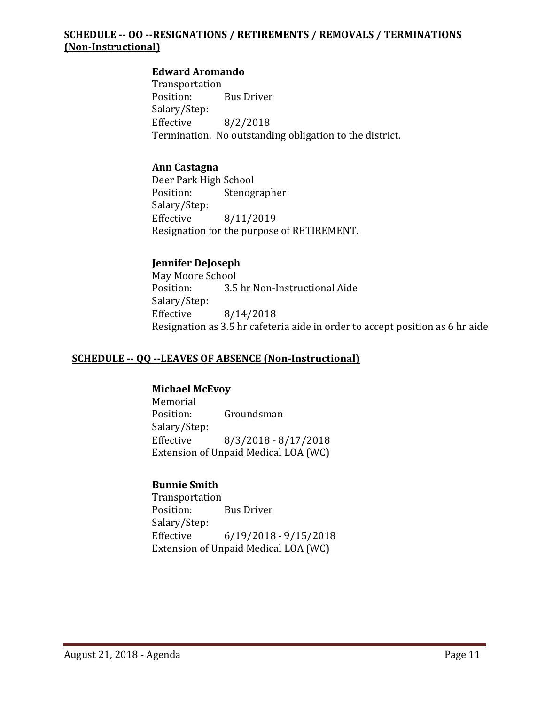#### **SCHEDULE -- OO --RESIGNATIONS / RETIREMENTS / REMOVALS / TERMINATIONS (Non-Instructional)**

#### **Edward Aromando**

Transportation<br>Position: **Bus Driver** Salary/Step: Effective 8/2/2018 Termination. No outstanding obligation to the district.

#### **Ann Castagna**

Deer Park High School<br>Position: Stenog Stenographer Salary/Step:<br>Effective Effective 8/11/2019 Resignation for the purpose of RETIREMENT.

#### **Jennifer DeJoseph**

May Moore School<br>Position: 3.5 3.5 hr Non-Instructional Aide Salary/Step:<br>Effective Effective 8/14/2018 Resignation as 3.5 hr cafeteria aide in order to accept position as 6 hr aide

#### **SCHEDULE -- QQ --LEAVES OF ABSENCE (Non-Instructional)**

#### **Michael McEvoy**

Memorial<br>Position: Groundsman Salary/Step:  $8/3/2018 - 8/17/2018$ Extension of Unpaid Medical LOA (WC)

#### **Bunnie Smith**

Transportation **Bus Driver** Salary/Step:<br>Effective  $6/19/2018 - 9/15/2018$ Extension of Unpaid Medical LOA (WC)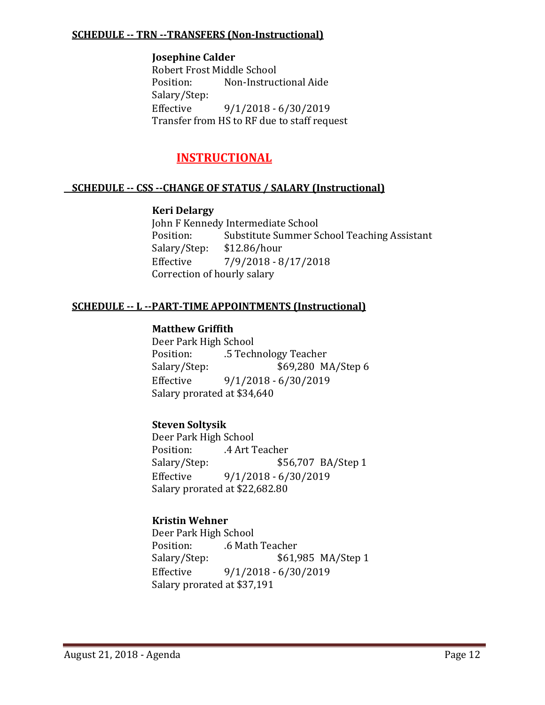#### **SCHEDULE -- TRN --TRANSFERS (Non-Instructional)**

#### **Josephine Calder**

Robert Frost Middle School<br>Position: Non-Instruc Non-Instructional Aide Salary/Step:<br>Effective  $9/1/2018 - 6/30/2019$ Transfer from HS to RF due to staff request

## **INSTRUCTIONAL**

#### **SCHEDULE -- CSS --CHANGE OF STATUS / SALARY (Instructional)**

#### **Keri Delargy**

John F Kennedy Intermediate School<br>Position: Substitute Summer S Substitute Summer School Teaching Assistant<br>\$12.86/hour Salary/Step:<br>Effective Effective 7/9/2018 - 8/17/2018 Correction of hourly salary

#### **SCHEDULE -- L --PART-TIME APPOINTMENTS (Instructional)**

## **Matthew Griffith**

Deer Park High School<br>Position: 5 Tech Position: .5 Technology Teacher<br>Salary/Step: \$69,280 M \$69,280 MA/Step 6 Effective 9/1/2018 - 6/30/2019 Salary prorated at \$34,640

#### **Steven Soltysik**

Deer Park High School<br>Position: 4 Art T Position: .4 Art Teacher<br>Salary/Step: \$56 \$56,707 BA/Step 1 Effective 9/1/2018 - 6/30/2019 Salary prorated at \$22,682.80

#### **Kristin Wehner**

Deer Park High School Position: .6 Math Teacher<br>Salary/Step: \$61,9 \$61,985 MA/Step 1 Effective 9/1/2018 - 6/30/2019 Salary prorated at \$37,191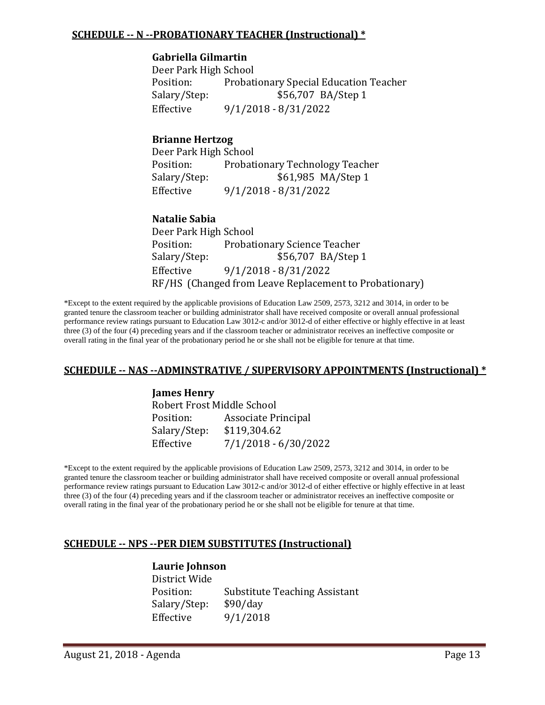#### **SCHEDULE -- N --PROBATIONARY TEACHER (Instructional) \***

#### **Gabriella Gilmartin**

Deer Park High School Probationary Special Education Teacher Salary/Step: \$56,707 BA/Step 1 Effective 9/1/2018 - 8/31/2022

#### **Brianne Hertzog**

Deer Park High School Position: Probationary Technology Teacher<br>Salary/Step: \$61,985 MA/Step 1 \$61,985 MA/Step 1 Effective 9/1/2018 - 8/31/2022

## **Natalie Sabia**

Deer Park High School Position: Probationary Science Teacher<br>Salary/Step: \$56,707 BA/Step \$56,707 BA/Step 1 Effective 9/1/2018 - 8/31/2022 RF/HS (Changed from Leave Replacement to Probationary)

\*Except to the extent required by the applicable provisions of Education Law 2509, 2573, 3212 and 3014, in order to be granted tenure the classroom teacher or building administrator shall have received composite or overall annual professional performance review ratings pursuant to Education Law 3012-c and/or 3012-d of either effective or highly effective in at least three (3) of the four (4) preceding years and if the classroom teacher or administrator receives an ineffective composite or overall rating in the final year of the probationary period he or she shall not be eligible for tenure at that time.

#### **SCHEDULE -- NAS --ADMINSTRATIVE / SUPERVISORY APPOINTMENTS (Instructional) \***

#### **James Henry**

Robert Frost Middle School<br>Position: Associate Pi Associate Principal<br>\$119,304.62 Salary/Step: Effective 7/1/2018 - 6/30/2022

\*Except to the extent required by the applicable provisions of Education Law 2509, 2573, 3212 and 3014, in order to be granted tenure the classroom teacher or building administrator shall have received composite or overall annual professional performance review ratings pursuant to Education Law 3012-c and/or 3012-d of either effective or highly effective in at least three (3) of the four (4) preceding years and if the classroom teacher or administrator receives an ineffective composite or overall rating in the final year of the probationary period he or she shall not be eligible for tenure at that time.

#### **SCHEDULE -- NPS --PER DIEM SUBSTITUTES (Instructional)**

#### **Laurie Johnson**

District Wide Substitute Teaching Assistant<br>\$90/day Salary/Step:<br>Effective Effective 9/1/2018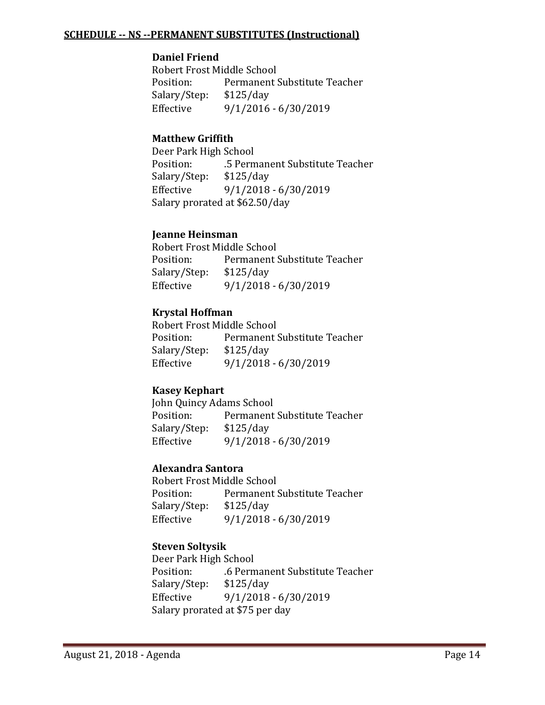#### **SCHEDULE -- NS --PERMANENT SUBSTITUTES (Instructional)**

#### **Daniel Friend**

Robert Frost Middle School<br>Position: Permanent! Permanent Substitute Teacher<br>\$125/day Salary/Step:<br>Effective Effective 9/1/2016 - 6/30/2019

## **Matthew Griffith**

Deer Park High School .5 Permanent Substitute Teacher<br>\$125/day Salary/Step: Effective 9/1/2018 - 6/30/2019 Salary prorated at \$62.50/day

#### **Jeanne Heinsman**

Robert Frost Middle School<br>Position: Permanent ! Permanent Substitute Teacher<br>\$125/day Salary/Step: Effective 9/1/2018 - 6/30/2019

## **Krystal Hoffman**

Robert Frost Middle School<br>Position: Permanent! Permanent Substitute Teacher Salary/Step: \$125/day Effective 9/1/2018 - 6/30/2019

#### **Kasey Kephart**

John Quincy Adams School<br>Position: Permanent Permanent Substitute Teacher<br>\$125/day Salary/Step: Effective 9/1/2018 - 6/30/2019

#### **Alexandra Santora**

Robert Frost Middle School<br>Position: Permanent! Permanent Substitute Teacher<br>\$125/day Salary/Step:<br>Effective  $9/1/2018 - 6/30/2019$ 

## **Steven Soltysik**

Deer Park High School .6 Permanent Substitute Teacher<br>\$125/day Salary/Step:<br>Effective Effective 9/1/2018 - 6/30/2019 Salary prorated at \$75 per day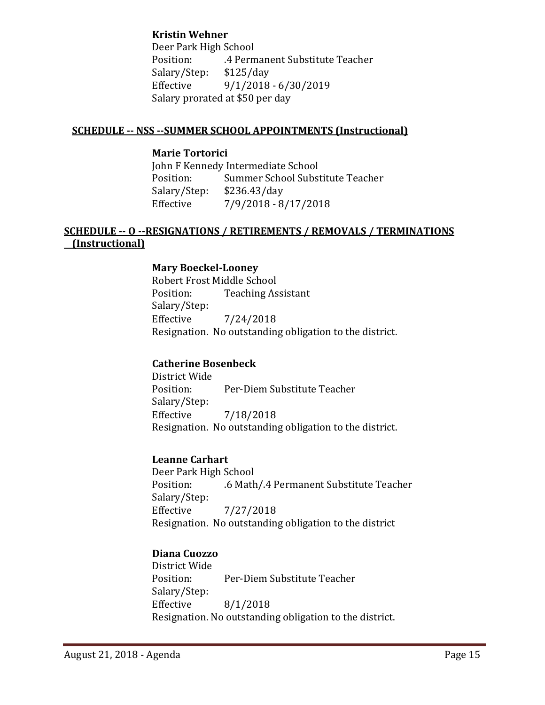## **Kristin Wehner**

Deer Park High School .4 Permanent Substitute Teacher<br>\$125/day Salary/Step:<br>Effective  $9/1/2018 - 6/30/2019$ Salary prorated at \$50 per day

#### **SCHEDULE -- NSS --SUMMER SCHOOL APPOINTMENTS (Instructional)**

#### **Marie Tortorici**

John F Kennedy Intermediate School<br>Position: Summer School Subs Summer School Substitute Teacher<br>\$236.43/day Salary/Step: Effective 7/9/2018 - 8/17/2018

## **SCHEDULE -- O --RESIGNATIONS / RETIREMENTS / REMOVALS / TERMINATIONS (Instructional)**

#### **Mary Boeckel-Looney**

Robert Frost Middle School<br>Position: Teaching As **Teaching Assistant** Salary/Step:<br>Effective Effective 7/24/2018 Resignation. No outstanding obligation to the district.

#### **Catherine Bosenbeck**

District Wide Per-Diem Substitute Teacher Salary/Step: Effective 7/18/2018 Resignation. No outstanding obligation to the district.

#### **Leanne Carhart**

Deer Park High School<br>Position: .6 Math .6 Math/.4 Permanent Substitute Teacher Salary/Step:<br>Effective Effective 7/27/2018 Resignation. No outstanding obligation to the district

## **Diana Cuozzo**

District Wide Per-Diem Substitute Teacher Salary/Step: Effective 8/1/2018 Resignation. No outstanding obligation to the district.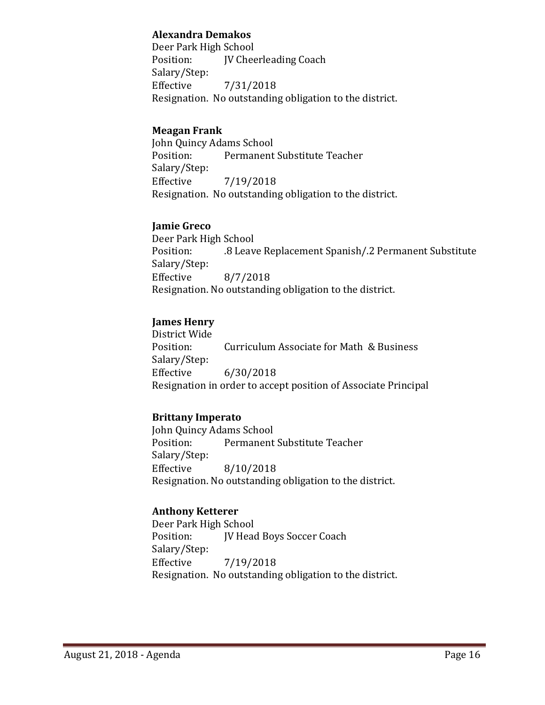#### **Alexandra Demakos**

Deer Park High School<br>Position: **IV Chee** JV Cheerleading Coach Salary/Step: Effective 7/31/2018 Resignation. No outstanding obligation to the district.

## **Meagan Frank**

John Quincy Adams School<br>Position: Permanent Permanent Substitute Teacher Salary/Step: Effective 7/19/2018 Resignation. No outstanding obligation to the district.

## **Jamie Greco**

Deer Park High School .8 Leave Replacement Spanish/.2 Permanent Substitute Salary/Step: Effective 8/7/2018 Resignation. No outstanding obligation to the district.

## **James Henry**

District Wide Curriculum Associate for Math & Business Salary/Step:  $6/30/2018$ Resignation in order to accept position of Associate Principal

## **Brittany Imperato**

John Quincy Adams School<br>Position: Permanent Permanent Substitute Teacher Salary/Step: Effective 8/10/2018 Resignation. No outstanding obligation to the district.

## **Anthony Ketterer**

Deer Park High School<br>Position: [V Head JV Head Boys Soccer Coach Salary/Step: Effective 7/19/2018 Resignation. No outstanding obligation to the district.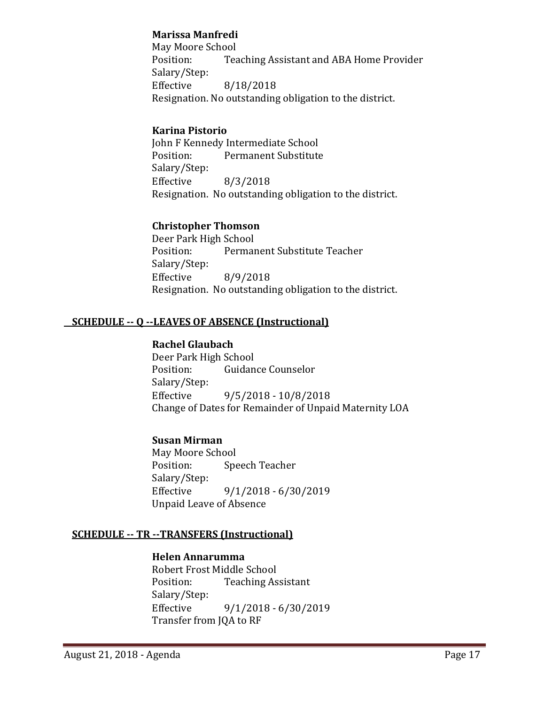## **Marissa Manfredi**

May Moore School<br>Position: Tea Teaching Assistant and ABA Home Provider Salary/Step: Effective 8/18/2018 Resignation. No outstanding obligation to the district.

## **Karina Pistorio**

John F Kennedy Intermediate School<br>Position: Permanent Substitute Permanent Substitute Salary/Step: Effective 8/3/2018 Resignation. No outstanding obligation to the district.

#### **Christopher Thomson**

Deer Park High School<br>Position: Permar Permanent Substitute Teacher Salary/Step:<br>Effective Effective 8/9/2018 Resignation. No outstanding obligation to the district.

## **SCHEDULE -- Q --LEAVES OF ABSENCE (Instructional)**

## **Rachel Glaubach**

Deer Park High School<br>Position: Guidan **Guidance Counselor** Salary/Step: Effective 9/5/2018 - 10/8/2018 Change of Dates for Remainder of Unpaid Maternity LOA

## **Susan Mirman**

May Moore School<br>Position: Spe Speech Teacher Salary/Step:<br>Effective  $9/1/2018 - 6/30/2019$ Unpaid Leave of Absence

#### **SCHEDULE -- TR --TRANSFERS (Instructional)**

#### **Helen Annarumma**

Robert Frost Middle School<br>Position: Teaching As **Teaching Assistant** Salary/Step: Effective 9/1/2018 - 6/30/2019 Transfer from JQA to RF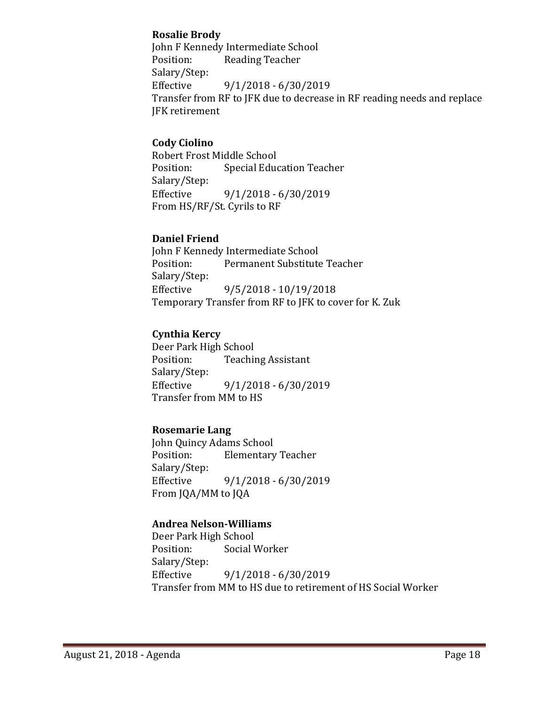#### **Rosalie Brody**

John F Kennedy Intermediate School<br>Position: Reading Teacher Reading Teacher Salary/Step:<br>Effective Effective 9/1/2018 - 6/30/2019 Transfer from RF to JFK due to decrease in RF reading needs and replace JFK retirement

## **Cody Ciolino**

Robert Frost Middle School<br>Position: Special Educ **Special Education Teacher** Salary/Step: Effective 9/1/2018 - 6/30/2019 From HS/RF/St. Cyrils to RF

## **Daniel Friend**

John F Kennedy Intermediate School<br>Position: Permanent Substitute Permanent Substitute Teacher Salary/Step:  $9/5/2018 - 10/19/2018$ Temporary Transfer from RF to JFK to cover for K. Zuk

## **Cynthia Kercy**

Deer Park High School<br>Position: Teachii **Teaching Assistant** Salary/Step:  $9/1/2018 - 6/30/2019$ Transfer from MM to HS

## **Rosemarie Lang**

John Quincy Adams School<br>Position: Elementary **Elementary Teacher** Salary/Step:<br>Effective Effective 9/1/2018 - 6/30/2019 From JQA/MM to JQA

## **Andrea Nelson-Williams**

Deer Park High School<br>Position: Social V Social Worker Salary/Step:<br>Effective  $9/1/2018 - 6/30/2019$ Transfer from MM to HS due to retirement of HS Social Worker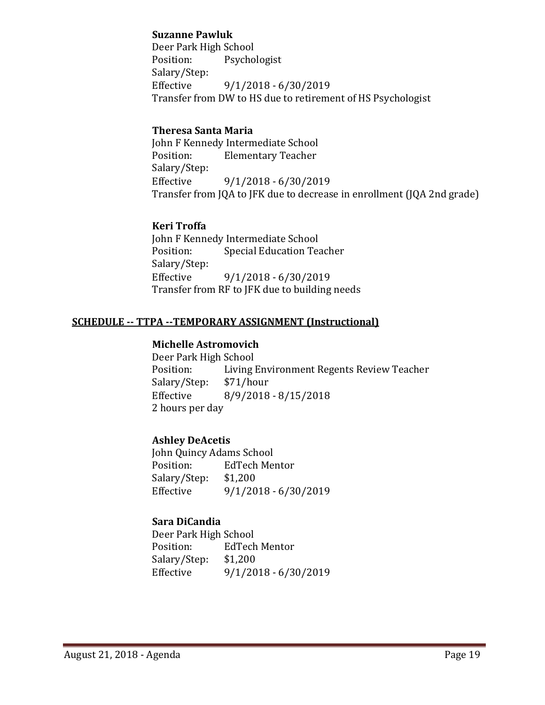#### **Suzanne Pawluk**

Deer Park High School<br>Position: Psycho Psychologist Salary/Step:  $9/1/2018 - 6/30/2019$ Transfer from DW to HS due to retirement of HS Psychologist

## **Theresa Santa Maria**

John F Kennedy Intermediate School<br>Position: Elementary Teacher **Elementary Teacher** Salary/Step:  $9/1/2018 - 6/30/2019$ Transfer from JQA to JFK due to decrease in enrollment (JQA 2nd grade)

#### **Keri Troffa**

John F Kennedy Intermediate School<br>Position: Special Education Tea **Special Education Teacher** Salary/Step:<br>Effective Effective 9/1/2018 - 6/30/2019 Transfer from RF to JFK due to building needs

#### **SCHEDULE -- TTPA --TEMPORARY ASSIGNMENT (Instructional)**

#### **Michelle Astromovich**

Deer Park High School<br>Position: Living Living Environment Regents Review Teacher<br>\$71/hour Salary/Step: Effective 8/9/2018 - 8/15/2018 2 hours per day

#### **Ashley DeAcetis**

John Quincy Adams School<br>Position: EdTech Me EdTech Mentor<br>\$1,200 Salary/Step:<br>Effective  $9/1/2018 - 6/30/2019$ 

#### **Sara DiCandia**

Deer Park High School<br>Position: EdTech EdTech Mentor<br>\$1.200 Salary/Step:<br>Effective Effective 9/1/2018 - 6/30/2019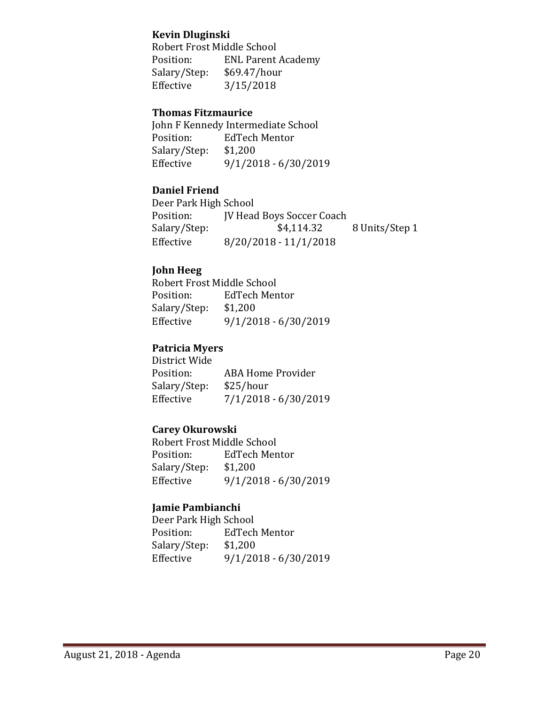#### **Kevin Dluginski**

Robert Frost Middle School<br>Position: ENL Parent ENL Parent Academy<br>\$69.47/hour Salary/Step:<br>Effective  $3/15/2018$ 

### **Thomas Fitzmaurice**

John F Kennedy Intermediate School<br>Position: EdTech Mentor EdTech Mentor<br>\$1,200 Salary/Step:<br>Effective Effective 9/1/2018 - 6/30/2019

## **Daniel Friend**

Deer Park High School<br>Position: JV Head Position: JV Head Boys Soccer Coach<br>Salary/Step: \$4,114.32 Salary/Step: \$4,114.32 8 Units/Step 1<br>Effective 8/20/2018 - 11/1/2018  $8/20/2018 - 11/1/2018$ 

## **John Heeg**

Robert Frost Middle School<br>Position: EdTech Men EdTech Mentor<br>\$1,200 Salary/Step: Effective 9/1/2018 - 6/30/2019

## **Patricia Myers**

District Wide ABA Home Provider<br>\$25/hour Salary/Step:<br>Effective  $7/1/2018 - 6/30/2019$ 

#### **Carey Okurowski**

Robert Frost Middle School<br>Position: EdTech Men EdTech Mentor<br>\$1,200 Salary/Step:<br>Effective  $9/1/2018 - 6/30/2019$ 

### **Jamie Pambianchi**

Deer Park High School<br>Position: EdTech EdTech Mentor<br>\$1,200 Salary/Step:<br>Effective Effective 9/1/2018 - 6/30/2019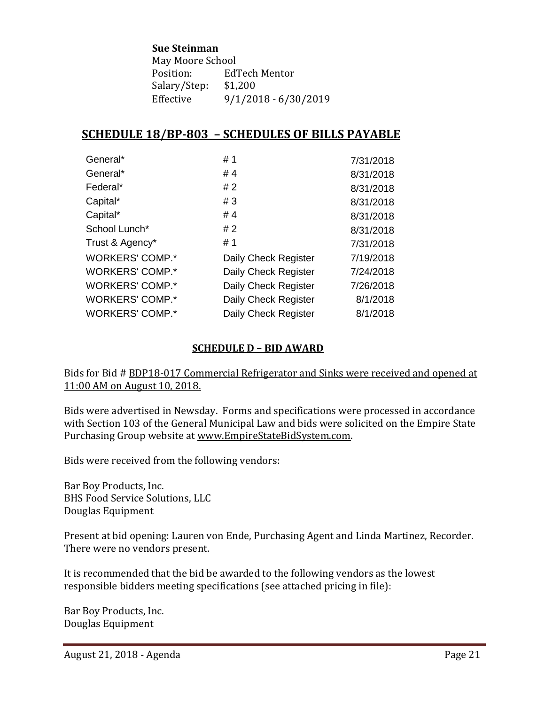#### **Sue Steinman**

May Moore School<br>Position: Ed' EdTech Mentor<br>\$1,200 Salary/Step:<br>Effective Effective 9/1/2018 - 6/30/2019

## **SCHEDULE 18/BP-803 – SCHEDULES OF BILLS PAYABLE**

| General*               | #1                   | 7/31/2018 |
|------------------------|----------------------|-----------|
| General*               | #4                   | 8/31/2018 |
| Federal*               | #2                   | 8/31/2018 |
| Capital*               | #3                   | 8/31/2018 |
| Capital*               | # 4                  | 8/31/2018 |
| School Lunch*          | #2                   | 8/31/2018 |
| Trust & Agency*        | #1                   | 7/31/2018 |
| <b>WORKERS' COMP.*</b> | Daily Check Register | 7/19/2018 |
| <b>WORKERS' COMP.*</b> | Daily Check Register | 7/24/2018 |
| <b>WORKERS' COMP.*</b> | Daily Check Register | 7/26/2018 |
| <b>WORKERS' COMP.*</b> | Daily Check Register | 8/1/2018  |
| <b>WORKERS' COMP.*</b> | Daily Check Register | 8/1/2018  |

#### **SCHEDULE D – BID AWARD**

Bids for Bid # BDP18-017 Commercial Refrigerator and Sinks were received and opened at 11:00 AM on August 10, 2018.

Bids were advertised in Newsday. Forms and specifications were processed in accordance with Section 103 of the General Municipal Law and bids were solicited on the Empire State Purchasing Group website at [www.EmpireStateBidSystem.com.](http://www.empirestatebidsystem.com/)

Bids were received from the following vendors:

Bar Boy Products, Inc. BHS Food Service Solutions, LLC Douglas Equipment

Present at bid opening: Lauren von Ende, Purchasing Agent and Linda Martinez, Recorder. There were no vendors present.

It is recommended that the bid be awarded to the following vendors as the lowest responsible bidders meeting specifications (see attached pricing in file):

Bar Boy Products, Inc. Douglas Equipment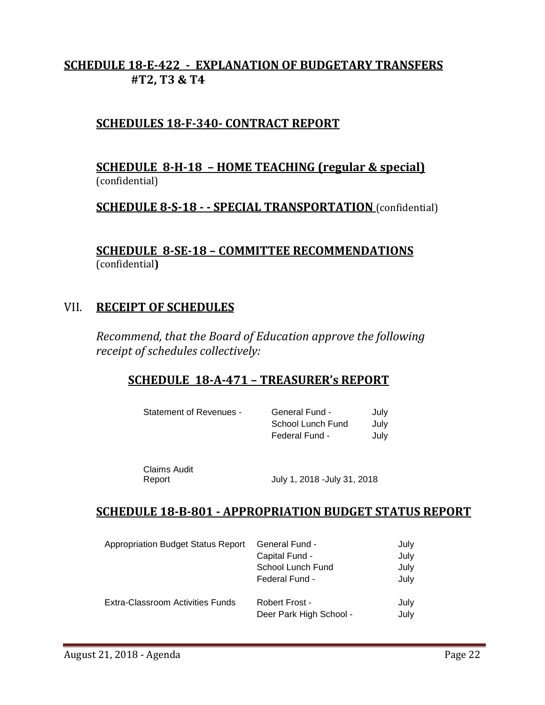## **SCHEDULE 18-E-422 - EXPLANATION OF BUDGETARY TRANSFERS #T2, T3 & T4**

## **SCHEDULES 18-F-340- CONTRACT REPORT**

## **SCHEDULE 8-H-18 – HOME TEACHING (regular & special)** (confidential)

## **SCHEDULE 8-S-18 - - SPECIAL TRANSPORTATION** (confidential)

**SCHEDULE 8-SE-18 – COMMITTEE RECOMMENDATIONS** (confidential**)**

## VII. **RECEIPT OF SCHEDULES**

*Recommend, that the Board of Education approve the following receipt of schedules collectively:*

## **SCHEDULE 18-A-471 – TREASURER's REPORT**

| Statement of Revenues - | General Fund -    | Julv |
|-------------------------|-------------------|------|
|                         | School Lunch Fund | Julv |
|                         | Federal Fund -    | Julv |

Claims Audit

Report July 1, 2018 -July 31, 2018

## **SCHEDULE 18-B-801 - APPROPRIATION BUDGET STATUS REPORT**

| <b>Appropriation Budget Status Report</b> | General Fund -<br>Capital Fund -<br>School Lunch Fund<br>Federal Fund - | July<br>July<br>July<br>July |
|-------------------------------------------|-------------------------------------------------------------------------|------------------------------|
| Extra-Classroom Activities Funds          | Robert Frost -<br>Deer Park High School -                               | July<br>July                 |